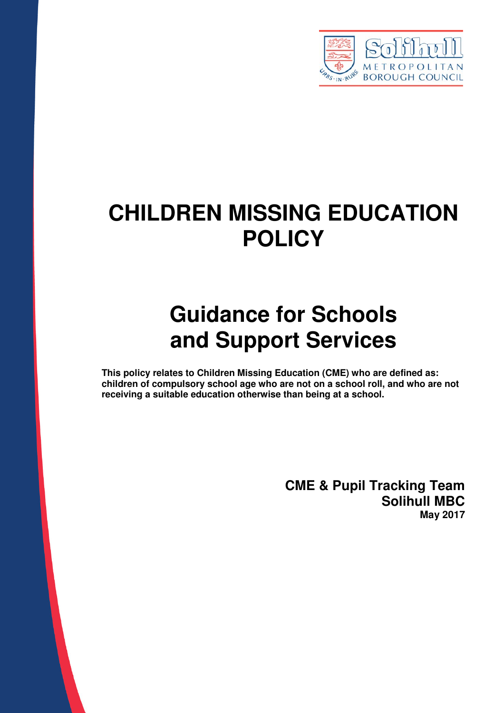

# **CHILDREN MISSING EDUCATION POLICY**

# **Guidance for Schools and Support Services**

**This policy relates to Children Missing Education (CME) who are defined as: children of compulsory school age who are not on a school roll, and who are not receiving a suitable education otherwise than being at a school.** 

> **CME & Pupil Tracking Team Solihull MBC May 2017**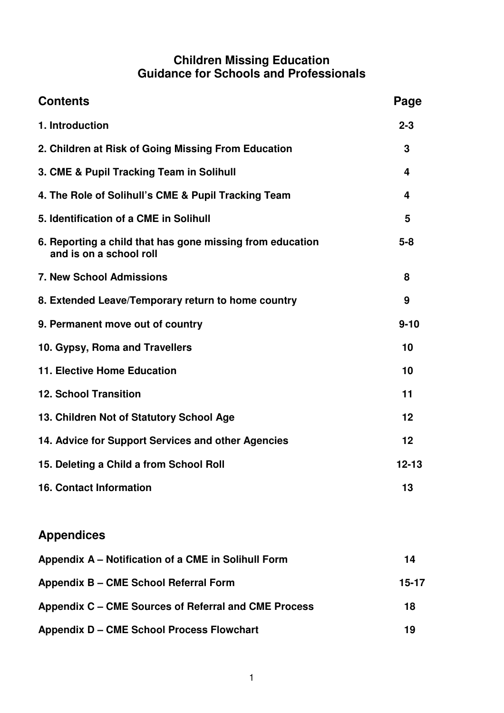#### **Children Missing Education Guidance for Schools and Professionals**

| <b>Contents</b>                                                                      | Page      |
|--------------------------------------------------------------------------------------|-----------|
| 1. Introduction                                                                      | $2 - 3$   |
| 2. Children at Risk of Going Missing From Education                                  | 3         |
| 3. CME & Pupil Tracking Team in Solihull                                             | 4         |
| 4. The Role of Solihull's CME & Pupil Tracking Team                                  | 4         |
| 5. Identification of a CME in Solihull                                               | 5         |
| 6. Reporting a child that has gone missing from education<br>and is on a school roll | $5 - 8$   |
| <b>7. New School Admissions</b>                                                      | 8         |
| 8. Extended Leave/Temporary return to home country                                   | 9         |
| 9. Permanent move out of country                                                     | $9 - 10$  |
| 10. Gypsy, Roma and Travellers                                                       | 10        |
| 11. Elective Home Education                                                          | 10        |
| <b>12. School Transition</b>                                                         | 11        |
| 13. Children Not of Statutory School Age                                             | 12        |
| 14. Advice for Support Services and other Agencies                                   | 12        |
| 15. Deleting a Child a from School Roll                                              | $12 - 13$ |
| <b>16. Contact Information</b>                                                       | 13        |
| <b>Appendices</b>                                                                    |           |
| Appendix A - Notification of a CME in Solihull Form                                  | 14        |
| Appendix B - CME School Referral Form                                                | $15-17$   |
| Appendix C - CME Sources of Referral and CME Process                                 | 18        |
| <b>Appendix D - CME School Process Flowchart</b>                                     | 19        |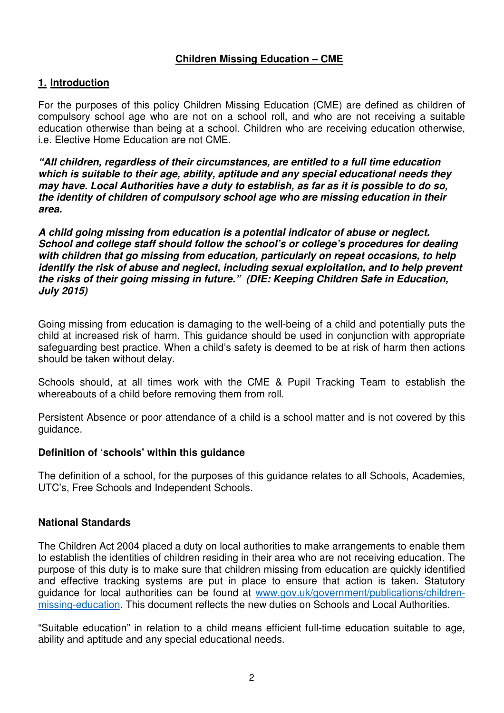#### **Children Missing Education – CME**

#### **1. Introduction**

For the purposes of this policy Children Missing Education (CME) are defined as children of compulsory school age who are not on a school roll, and who are not receiving a suitable education otherwise than being at a school. Children who are receiving education otherwise, i.e. Elective Home Education are not CME.

**"All children, regardless of their circumstances, are entitled to a full time education which is suitable to their age, ability, aptitude and any special educational needs they may have. Local Authorities have a duty to establish, as far as it is possible to do so, the identity of children of compulsory school age who are missing education in their area.** 

**A child going missing from education is a potential indicator of abuse or neglect. School and college staff should follow the school's or college's procedures for dealing with children that go missing from education, particularly on repeat occasions, to help identify the risk of abuse and neglect, including sexual exploitation, and to help prevent the risks of their going missing in future." (DfE: Keeping Children Safe in Education, July 2015)** 

Going missing from education is damaging to the well-being of a child and potentially puts the child at increased risk of harm. This guidance should be used in conjunction with appropriate safeguarding best practice. When a child's safety is deemed to be at risk of harm then actions should be taken without delay.

Schools should, at all times work with the CME & Pupil Tracking Team to establish the whereabouts of a child before removing them from roll.

Persistent Absence or poor attendance of a child is a school matter and is not covered by this guidance.

#### **Definition of 'schools' within this guidance**

The definition of a school, for the purposes of this guidance relates to all Schools, Academies, UTC's, Free Schools and Independent Schools.

#### **National Standards**

The Children Act 2004 placed a duty on local authorities to make arrangements to enable them to establish the identities of children residing in their area who are not receiving education. The purpose of this duty is to make sure that children missing from education are quickly identified and effective tracking systems are put in place to ensure that action is taken. Statutory guidance for local authorities can be found at www.gov.uk/government/publications/childrenmissing-education. This document reflects the new duties on Schools and Local Authorities.

"Suitable education" in relation to a child means efficient full-time education suitable to age, ability and aptitude and any special educational needs.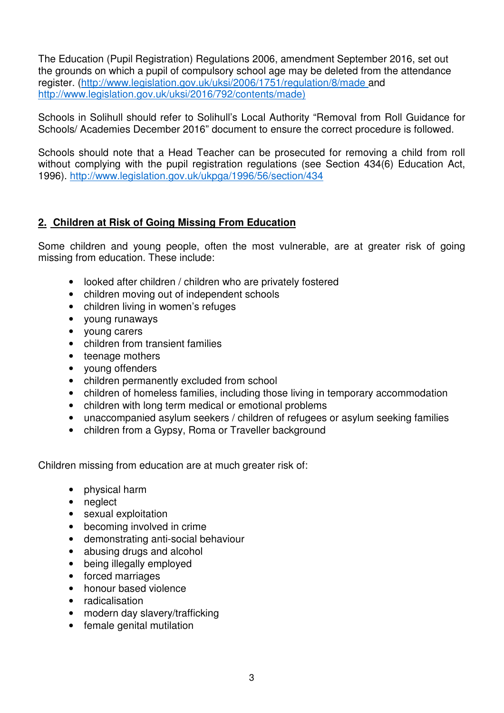The Education (Pupil Registration) Regulations 2006, amendment September 2016, set out the grounds on which a pupil of compulsory school age may be deleted from the attendance register. (http://www.legislation.gov.uk/uksi/2006/1751/regulation/8/made and http://www.legislation.gov.uk/uksi/2016/792/contents/made)

Schools in Solihull should refer to Solihull's Local Authority "Removal from Roll Guidance for Schools/ Academies December 2016" document to ensure the correct procedure is followed.

Schools should note that a Head Teacher can be prosecuted for removing a child from roll without complying with the pupil registration regulations (see Section 434(6) Education Act, 1996). http://www.legislation.gov.uk/ukpga/1996/56/section/434

#### **2. Children at Risk of Going Missing From Education**

Some children and young people, often the most vulnerable, are at greater risk of going missing from education. These include:

- looked after children / children who are privately fostered
- children moving out of independent schools
- children living in women's refuges
- young runaways
- young carers
- children from transient families
- teenage mothers
- young offenders
- children permanently excluded from school
- children of homeless families, including those living in temporary accommodation
- children with long term medical or emotional problems
- unaccompanied asylum seekers / children of refugees or asylum seeking families
- children from a Gypsy, Roma or Traveller background

Children missing from education are at much greater risk of:

- physical harm
- neglect
- sexual exploitation
- becoming involved in crime
- demonstrating anti-social behaviour
- abusing drugs and alcohol
- being illegally employed
- forced marriages
- honour based violence
- radicalisation
- modern day slavery/trafficking
- female genital mutilation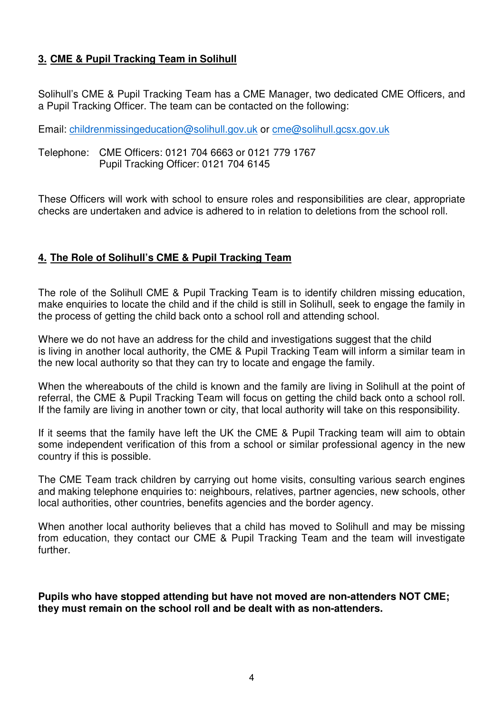#### **3. CME & Pupil Tracking Team in Solihull**

Solihull's CME & Pupil Tracking Team has a CME Manager, two dedicated CME Officers, and a Pupil Tracking Officer. The team can be contacted on the following:

Email: childrenmissingeducation@solihull.gov.uk or cme@solihull.gcsx.gov.uk

Telephone: CME Officers: 0121 704 6663 or 0121 779 1767 Pupil Tracking Officer: 0121 704 6145

These Officers will work with school to ensure roles and responsibilities are clear, appropriate checks are undertaken and advice is adhered to in relation to deletions from the school roll.

#### **4. The Role of Solihull's CME & Pupil Tracking Team**

The role of the Solihull CME & Pupil Tracking Team is to identify children missing education, make enquiries to locate the child and if the child is still in Solihull, seek to engage the family in the process of getting the child back onto a school roll and attending school.

Where we do not have an address for the child and investigations suggest that the child is living in another local authority, the CME & Pupil Tracking Team will inform a similar team in the new local authority so that they can try to locate and engage the family.

When the whereabouts of the child is known and the family are living in Solihull at the point of referral, the CME & Pupil Tracking Team will focus on getting the child back onto a school roll. If the family are living in another town or city, that local authority will take on this responsibility.

If it seems that the family have left the UK the CME & Pupil Tracking team will aim to obtain some independent verification of this from a school or similar professional agency in the new country if this is possible.

The CME Team track children by carrying out home visits, consulting various search engines and making telephone enquiries to: neighbours, relatives, partner agencies, new schools, other local authorities, other countries, benefits agencies and the border agency.

When another local authority believes that a child has moved to Solihull and may be missing from education, they contact our CME & Pupil Tracking Team and the team will investigate further.

**Pupils who have stopped attending but have not moved are non-attenders NOT CME; they must remain on the school roll and be dealt with as non-attenders.**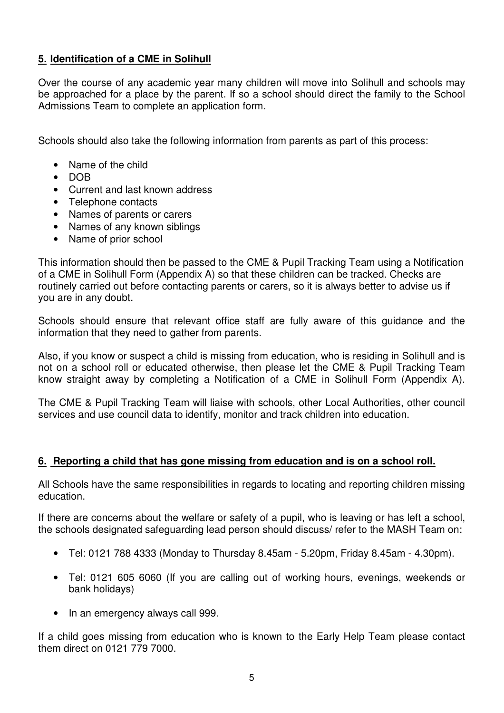#### **5. Identification of a CME in Solihull**

Over the course of any academic year many children will move into Solihull and schools may be approached for a place by the parent. If so a school should direct the family to the School Admissions Team to complete an application form.

Schools should also take the following information from parents as part of this process:

- Name of the child
- DOB
- Current and last known address
- Telephone contacts
- Names of parents or carers
- Names of any known siblings
- Name of prior school

This information should then be passed to the CME & Pupil Tracking Team using a Notification of a CME in Solihull Form (Appendix A) so that these children can be tracked. Checks are routinely carried out before contacting parents or carers, so it is always better to advise us if you are in any doubt.

Schools should ensure that relevant office staff are fully aware of this guidance and the information that they need to gather from parents.

Also, if you know or suspect a child is missing from education, who is residing in Solihull and is not on a school roll or educated otherwise, then please let the CME & Pupil Tracking Team know straight away by completing a Notification of a CME in Solihull Form (Appendix A).

The CME & Pupil Tracking Team will liaise with schools, other Local Authorities, other council services and use council data to identify, monitor and track children into education.

#### **6. Reporting a child that has gone missing from education and is on a school roll.**

All Schools have the same responsibilities in regards to locating and reporting children missing education.

If there are concerns about the welfare or safety of a pupil, who is leaving or has left a school, the schools designated safeguarding lead person should discuss/ refer to the MASH Team on:

- Tel: 0121 788 4333 (Monday to Thursday 8.45am 5.20pm, Friday 8.45am 4.30pm).
- Tel: 0121 605 6060 (If you are calling out of working hours, evenings, weekends or bank holidays)
- In an emergency always call 999.

If a child goes missing from education who is known to the Early Help Team please contact them direct on 0121 779 7000.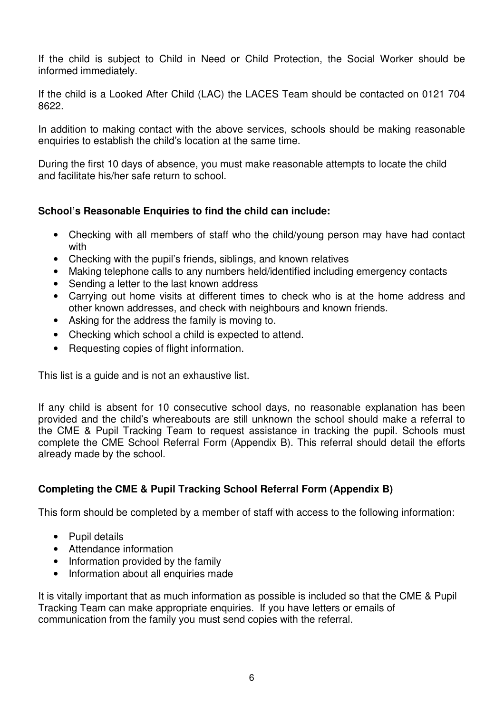If the child is subject to Child in Need or Child Protection, the Social Worker should be informed immediately.

If the child is a Looked After Child (LAC) the LACES Team should be contacted on 0121 704 8622.

In addition to making contact with the above services, schools should be making reasonable enquiries to establish the child's location at the same time.

During the first 10 days of absence, you must make reasonable attempts to locate the child and facilitate his/her safe return to school.

#### **School's Reasonable Enquiries to find the child can include:**

- Checking with all members of staff who the child/young person may have had contact with
- Checking with the pupil's friends, siblings, and known relatives
- Making telephone calls to any numbers held/identified including emergency contacts
- Sending a letter to the last known address
- Carrying out home visits at different times to check who is at the home address and other known addresses, and check with neighbours and known friends.
- Asking for the address the family is moving to.
- Checking which school a child is expected to attend.
- Requesting copies of flight information.

This list is a guide and is not an exhaustive list.

If any child is absent for 10 consecutive school days, no reasonable explanation has been provided and the child's whereabouts are still unknown the school should make a referral to the CME & Pupil Tracking Team to request assistance in tracking the pupil. Schools must complete the CME School Referral Form (Appendix B). This referral should detail the efforts already made by the school.

#### **Completing the CME & Pupil Tracking School Referral Form (Appendix B)**

This form should be completed by a member of staff with access to the following information:

- Pupil details
- Attendance information
- Information provided by the family
- Information about all enquiries made

It is vitally important that as much information as possible is included so that the CME & Pupil Tracking Team can make appropriate enquiries. If you have letters or emails of communication from the family you must send copies with the referral.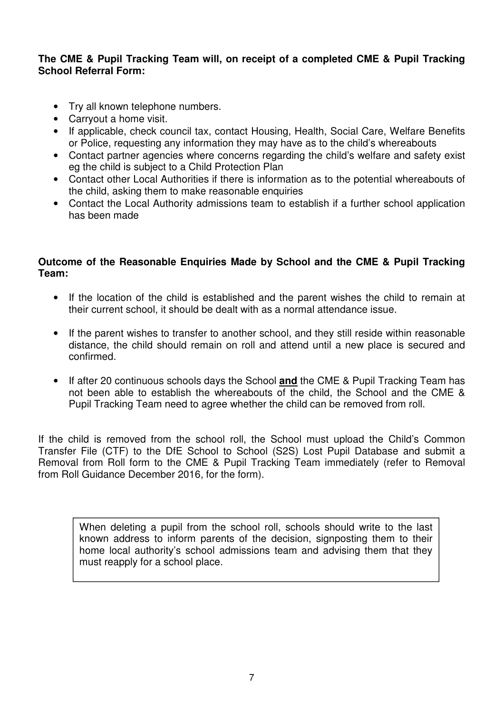#### **The CME & Pupil Tracking Team will, on receipt of a completed CME & Pupil Tracking School Referral Form:**

- Try all known telephone numbers.
- Carryout a home visit.
- If applicable, check council tax, contact Housing, Health, Social Care, Welfare Benefits or Police, requesting any information they may have as to the child's whereabouts
- Contact partner agencies where concerns regarding the child's welfare and safety exist eg the child is subject to a Child Protection Plan
- Contact other Local Authorities if there is information as to the potential whereabouts of the child, asking them to make reasonable enquiries
- Contact the Local Authority admissions team to establish if a further school application has been made

#### **Outcome of the Reasonable Enquiries Made by School and the CME & Pupil Tracking Team:**

- If the location of the child is established and the parent wishes the child to remain at their current school, it should be dealt with as a normal attendance issue.
- If the parent wishes to transfer to another school, and they still reside within reasonable distance, the child should remain on roll and attend until a new place is secured and confirmed.
- If after 20 continuous schools days the School **and** the CME & Pupil Tracking Team has not been able to establish the whereabouts of the child, the School and the CME & Pupil Tracking Team need to agree whether the child can be removed from roll.

If the child is removed from the school roll, the School must upload the Child's Common Transfer File (CTF) to the DfE School to School (S2S) Lost Pupil Database and submit a Removal from Roll form to the CME & Pupil Tracking Team immediately (refer to Removal from Roll Guidance December 2016, for the form).

When deleting a pupil from the school roll, schools should write to the last known address to inform parents of the decision, signposting them to their home local authority's school admissions team and advising them that they must reapply for a school place.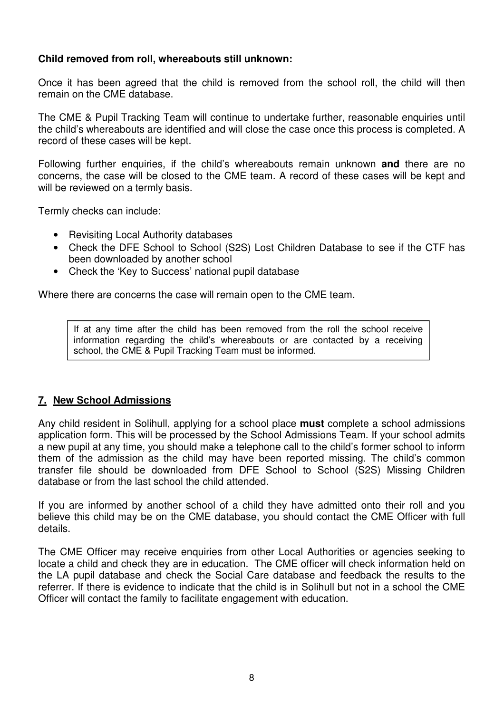#### **Child removed from roll, whereabouts still unknown:**

Once it has been agreed that the child is removed from the school roll, the child will then remain on the CME database.

The CME & Pupil Tracking Team will continue to undertake further, reasonable enquiries until the child's whereabouts are identified and will close the case once this process is completed. A record of these cases will be kept.

Following further enquiries, if the child's whereabouts remain unknown **and** there are no concerns, the case will be closed to the CME team. A record of these cases will be kept and will be reviewed on a termly basis.

Termly checks can include:

- Revisiting Local Authority databases
- Check the DFE School to School (S2S) Lost Children Database to see if the CTF has been downloaded by another school
- Check the 'Key to Success' national pupil database

Where there are concerns the case will remain open to the CME team.

If at any time after the child has been removed from the roll the school receive information regarding the child's whereabouts or are contacted by a receiving school, the CME & Pupil Tracking Team must be informed.

#### **7. New School Admissions**

Any child resident in Solihull, applying for a school place **must** complete a school admissions application form. This will be processed by the School Admissions Team. If your school admits a new pupil at any time, you should make a telephone call to the child's former school to inform them of the admission as the child may have been reported missing. The child's common transfer file should be downloaded from DFE School to School (S2S) Missing Children database or from the last school the child attended.

If you are informed by another school of a child they have admitted onto their roll and you believe this child may be on the CME database, you should contact the CME Officer with full details.

The CME Officer may receive enquiries from other Local Authorities or agencies seeking to locate a child and check they are in education. The CME officer will check information held on the LA pupil database and check the Social Care database and feedback the results to the referrer. If there is evidence to indicate that the child is in Solihull but not in a school the CME Officer will contact the family to facilitate engagement with education.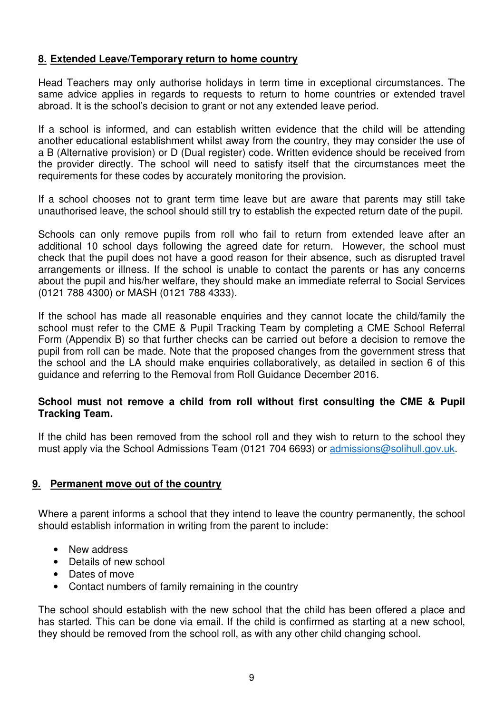#### **8. Extended Leave/Temporary return to home country**

Head Teachers may only authorise holidays in term time in exceptional circumstances. The same advice applies in regards to requests to return to home countries or extended travel abroad. It is the school's decision to grant or not any extended leave period.

If a school is informed, and can establish written evidence that the child will be attending another educational establishment whilst away from the country, they may consider the use of a B (Alternative provision) or D (Dual register) code. Written evidence should be received from the provider directly. The school will need to satisfy itself that the circumstances meet the requirements for these codes by accurately monitoring the provision.

If a school chooses not to grant term time leave but are aware that parents may still take unauthorised leave, the school should still try to establish the expected return date of the pupil.

Schools can only remove pupils from roll who fail to return from extended leave after an additional 10 school days following the agreed date for return. However, the school must check that the pupil does not have a good reason for their absence, such as disrupted travel arrangements or illness. If the school is unable to contact the parents or has any concerns about the pupil and his/her welfare, they should make an immediate referral to Social Services (0121 788 4300) or MASH (0121 788 4333).

If the school has made all reasonable enquiries and they cannot locate the child/family the school must refer to the CME & Pupil Tracking Team by completing a CME School Referral Form (Appendix B) so that further checks can be carried out before a decision to remove the pupil from roll can be made. Note that the proposed changes from the government stress that the school and the LA should make enquiries collaboratively, as detailed in section 6 of this guidance and referring to the Removal from Roll Guidance December 2016.

#### **School must not remove a child from roll without first consulting the CME & Pupil Tracking Team.**

If the child has been removed from the school roll and they wish to return to the school they must apply via the School Admissions Team (0121 704 6693) or admissions@solihull.gov.uk.

#### **9. Permanent move out of the country**

Where a parent informs a school that they intend to leave the country permanently, the school should establish information in writing from the parent to include:

- New address
- Details of new school
- Dates of move
- Contact numbers of family remaining in the country

The school should establish with the new school that the child has been offered a place and has started. This can be done via email. If the child is confirmed as starting at a new school, they should be removed from the school roll, as with any other child changing school.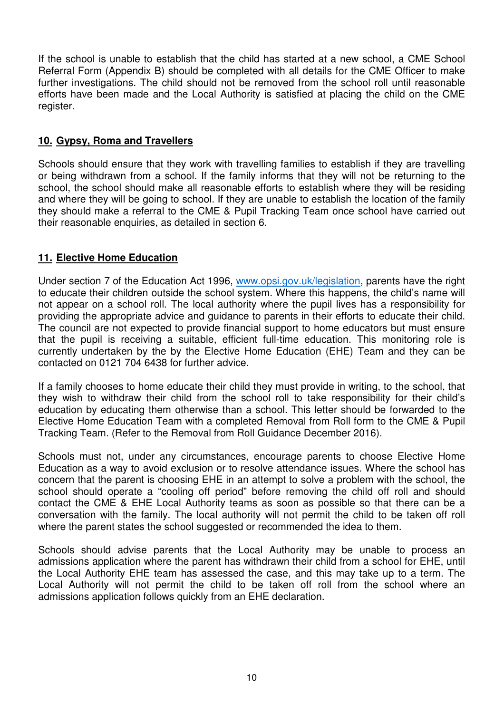If the school is unable to establish that the child has started at a new school, a CME School Referral Form (Appendix B) should be completed with all details for the CME Officer to make further investigations. The child should not be removed from the school roll until reasonable efforts have been made and the Local Authority is satisfied at placing the child on the CME register.

#### **10. Gypsy, Roma and Travellers**

Schools should ensure that they work with travelling families to establish if they are travelling or being withdrawn from a school. If the family informs that they will not be returning to the school, the school should make all reasonable efforts to establish where they will be residing and where they will be going to school. If they are unable to establish the location of the family they should make a referral to the CME & Pupil Tracking Team once school have carried out their reasonable enquiries, as detailed in section 6.

#### **11. Elective Home Education**

Under section 7 of the Education Act 1996, www.opsi.gov.uk/legislation, parents have the right to educate their children outside the school system. Where this happens, the child's name will not appear on a school roll. The local authority where the pupil lives has a responsibility for providing the appropriate advice and guidance to parents in their efforts to educate their child. The council are not expected to provide financial support to home educators but must ensure that the pupil is receiving a suitable, efficient full-time education. This monitoring role is currently undertaken by the by the Elective Home Education (EHE) Team and they can be contacted on 0121 704 6438 for further advice.

If a family chooses to home educate their child they must provide in writing, to the school, that they wish to withdraw their child from the school roll to take responsibility for their child's education by educating them otherwise than a school. This letter should be forwarded to the Elective Home Education Team with a completed Removal from Roll form to the CME & Pupil Tracking Team. (Refer to the Removal from Roll Guidance December 2016).

Schools must not, under any circumstances, encourage parents to choose Elective Home Education as a way to avoid exclusion or to resolve attendance issues. Where the school has concern that the parent is choosing EHE in an attempt to solve a problem with the school, the school should operate a "cooling off period" before removing the child off roll and should contact the CME & EHE Local Authority teams as soon as possible so that there can be a conversation with the family. The local authority will not permit the child to be taken off roll where the parent states the school suggested or recommended the idea to them.

Schools should advise parents that the Local Authority may be unable to process an admissions application where the parent has withdrawn their child from a school for EHE, until the Local Authority EHE team has assessed the case, and this may take up to a term. The Local Authority will not permit the child to be taken off roll from the school where an admissions application follows quickly from an EHE declaration.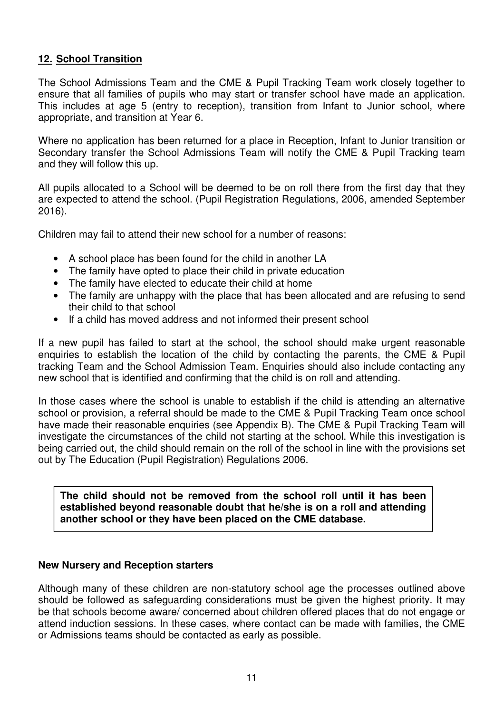#### **12. School Transition**

The School Admissions Team and the CME & Pupil Tracking Team work closely together to ensure that all families of pupils who may start or transfer school have made an application. This includes at age 5 (entry to reception), transition from Infant to Junior school, where appropriate, and transition at Year 6.

Where no application has been returned for a place in Reception, Infant to Junior transition or Secondary transfer the School Admissions Team will notify the CME & Pupil Tracking team and they will follow this up.

All pupils allocated to a School will be deemed to be on roll there from the first day that they are expected to attend the school. (Pupil Registration Regulations, 2006, amended September 2016).

Children may fail to attend their new school for a number of reasons:

- A school place has been found for the child in another LA
- The family have opted to place their child in private education
- The family have elected to educate their child at home
- The family are unhappy with the place that has been allocated and are refusing to send their child to that school
- If a child has moved address and not informed their present school

If a new pupil has failed to start at the school, the school should make urgent reasonable enquiries to establish the location of the child by contacting the parents, the CME & Pupil tracking Team and the School Admission Team. Enquiries should also include contacting any new school that is identified and confirming that the child is on roll and attending.

In those cases where the school is unable to establish if the child is attending an alternative school or provision, a referral should be made to the CME & Pupil Tracking Team once school have made their reasonable enquiries (see Appendix B). The CME & Pupil Tracking Team will investigate the circumstances of the child not starting at the school. While this investigation is being carried out, the child should remain on the roll of the school in line with the provisions set out by The Education (Pupil Registration) Regulations 2006.

**The child should not be removed from the school roll until it has been established beyond reasonable doubt that he/she is on a roll and attending another school or they have been placed on the CME database.** 

#### **New Nursery and Reception starters**

Although many of these children are non-statutory school age the processes outlined above should be followed as safeguarding considerations must be given the highest priority. It may be that schools become aware/ concerned about children offered places that do not engage or attend induction sessions. In these cases, where contact can be made with families, the CME or Admissions teams should be contacted as early as possible.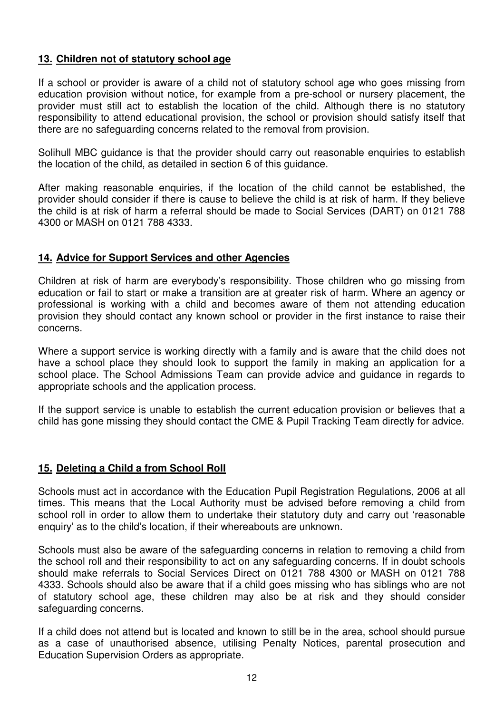#### **13. Children not of statutory school age**

If a school or provider is aware of a child not of statutory school age who goes missing from education provision without notice, for example from a pre-school or nursery placement, the provider must still act to establish the location of the child. Although there is no statutory responsibility to attend educational provision, the school or provision should satisfy itself that there are no safeguarding concerns related to the removal from provision.

Solihull MBC guidance is that the provider should carry out reasonable enquiries to establish the location of the child, as detailed in section 6 of this guidance.

After making reasonable enquiries, if the location of the child cannot be established, the provider should consider if there is cause to believe the child is at risk of harm. If they believe the child is at risk of harm a referral should be made to Social Services (DART) on 0121 788 4300 or MASH on 0121 788 4333.

#### **14. Advice for Support Services and other Agencies**

Children at risk of harm are everybody's responsibility. Those children who go missing from education or fail to start or make a transition are at greater risk of harm. Where an agency or professional is working with a child and becomes aware of them not attending education provision they should contact any known school or provider in the first instance to raise their concerns.

Where a support service is working directly with a family and is aware that the child does not have a school place they should look to support the family in making an application for a school place. The School Admissions Team can provide advice and guidance in regards to appropriate schools and the application process.

If the support service is unable to establish the current education provision or believes that a child has gone missing they should contact the CME & Pupil Tracking Team directly for advice.

#### **15. Deleting a Child a from School Roll**

Schools must act in accordance with the Education Pupil Registration Regulations, 2006 at all times. This means that the Local Authority must be advised before removing a child from school roll in order to allow them to undertake their statutory duty and carry out 'reasonable enquiry' as to the child's location, if their whereabouts are unknown.

Schools must also be aware of the safeguarding concerns in relation to removing a child from the school roll and their responsibility to act on any safeguarding concerns. If in doubt schools should make referrals to Social Services Direct on 0121 788 4300 or MASH on 0121 788 4333. Schools should also be aware that if a child goes missing who has siblings who are not of statutory school age, these children may also be at risk and they should consider safeguarding concerns.

If a child does not attend but is located and known to still be in the area, school should pursue as a case of unauthorised absence, utilising Penalty Notices, parental prosecution and Education Supervision Orders as appropriate.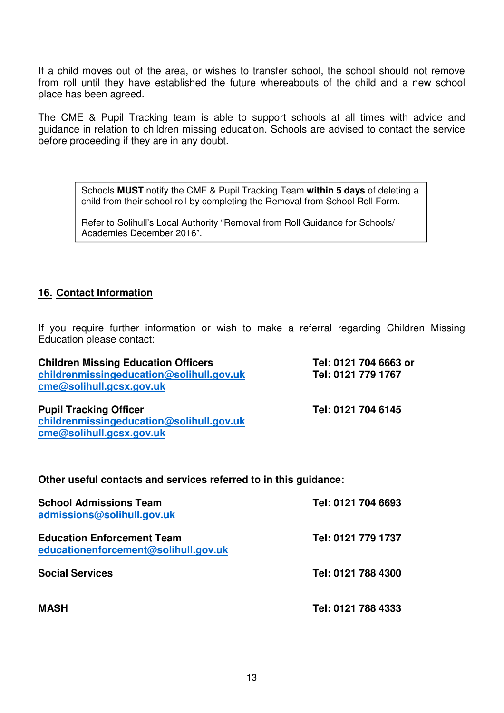If a child moves out of the area, or wishes to transfer school, the school should not remove from roll until they have established the future whereabouts of the child and a new school place has been agreed.

The CME & Pupil Tracking team is able to support schools at all times with advice and guidance in relation to children missing education. Schools are advised to contact the service before proceeding if they are in any doubt.

Schools **MUST** notify the CME & Pupil Tracking Team **within 5 days** of deleting a child from their school roll by completing the Removal from School Roll Form.

Refer to Solihull's Local Authority "Removal from Roll Guidance for Schools/ Academies December 2016".

#### **16. Contact Information**

If you require further information or wish to make a referral regarding Children Missing Education please contact:

| <b>Children Missing Education Officers</b><br>childrenmissingeducation@solihull.gov.uk<br>cme@solihull.gcsx.gov.uk | Tel: 0121 704 6663 or<br>Tel: 0121 779 1767 |
|--------------------------------------------------------------------------------------------------------------------|---------------------------------------------|
| <b>Pupil Tracking Officer</b><br>childrenmissingeducation@solihull.gov.uk<br>cme@solihull.gcsx.gov.uk              | Tel: 0121 704 6145                          |
| Other useful contacts and services referred to in this guidance:                                                   |                                             |
| <b>School Admissions Team</b><br>admissions@solihull.gov.uk                                                        | Tel: 0121 704 6693                          |

**Education Enforcement Team Tel: 0121 779 1737 educationenforcement@solihull.gov.uk**

**Social Services Tel: 0121 788 4300** 

**MASH Tel: 0121 788 4333**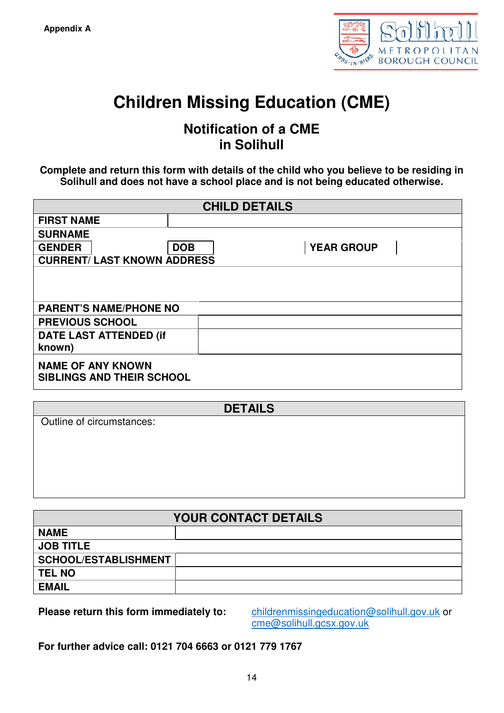

## **Children Missing Education (CME)**

### **Notification of a CME in Solihull**

**Complete and return this form with details of the child who you believe to be residing in Solihull and does not have a school place and is not being educated otherwise.** 

|                                                              | <b>CHILD DETAILS</b> |                   |  |
|--------------------------------------------------------------|----------------------|-------------------|--|
| <b>FIRST NAME</b>                                            |                      |                   |  |
| <b>SURNAME</b>                                               |                      |                   |  |
| <b>GENDER</b>                                                | <b>DOB</b>           | <b>YEAR GROUP</b> |  |
| <b>CURRENT/ LAST KNOWN ADDRESS</b>                           |                      |                   |  |
| <b>PARENT'S NAME/PHONE NO</b>                                |                      |                   |  |
| <b>PREVIOUS SCHOOL</b>                                       |                      |                   |  |
| <b>DATE LAST ATTENDED (if</b><br>known)                      |                      |                   |  |
| <b>NAME OF ANY KNOWN</b><br><b>SIBLINGS AND THEIR SCHOOL</b> |                      |                   |  |

| <b>DETAILS</b>            |  |
|---------------------------|--|
|                           |  |
| Outline of circumstances: |  |
|                           |  |
|                           |  |
|                           |  |
|                           |  |
|                           |  |
|                           |  |
|                           |  |
|                           |  |
|                           |  |
|                           |  |
|                           |  |

|                      | <b>YOUR CONTACT DETAILS</b> |
|----------------------|-----------------------------|
| <b>NAME</b>          |                             |
| <b>JOB TITLE</b>     |                             |
| SCHOOL/ESTABLISHMENT |                             |
| <b>TEL NO</b>        |                             |
| <b>EMAIL</b>         |                             |

**Please return this form immediately to:** childrenmissingeducation@solihull.gov.uk or cme@solihull.gcsx.gov.uk

**For further advice call: 0121 704 6663 or 0121 779 1767**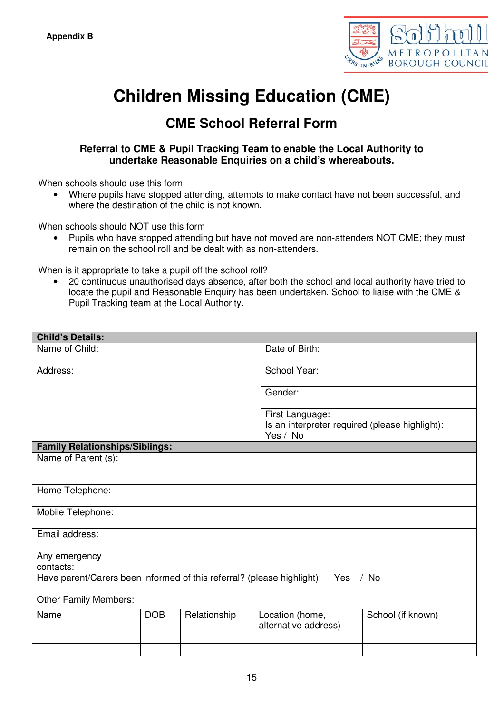

## **Children Missing Education (CME)**

## **CME School Referral Form**

#### **Referral to CME & Pupil Tracking Team to enable the Local Authority to undertake Reasonable Enquiries on a child's whereabouts.**

When schools should use this form

• Where pupils have stopped attending, attempts to make contact have not been successful, and where the destination of the child is not known.

When schools should NOT use this form

• Pupils who have stopped attending but have not moved are non-attenders NOT CME; they must remain on the school roll and be dealt with as non-attenders.

When is it appropriate to take a pupil off the school roll?

• 20 continuous unauthorised days absence, after both the school and local authority have tried to locate the pupil and Reasonable Enquiry has been undertaken. School to liaise with the CME & Pupil Tracking team at the Local Authority.

| <b>Child's Details:</b>                                                |            |              |                                                |                   |
|------------------------------------------------------------------------|------------|--------------|------------------------------------------------|-------------------|
| Name of Child:                                                         |            |              | Date of Birth:                                 |                   |
| Address:                                                               |            |              | School Year:                                   |                   |
|                                                                        |            |              | Gender:                                        |                   |
|                                                                        |            |              | First Language:                                |                   |
|                                                                        |            |              | Is an interpreter required (please highlight): |                   |
|                                                                        |            |              | Yes / No                                       |                   |
| <b>Family Relationships/Siblings:</b>                                  |            |              |                                                |                   |
| Name of Parent (s):                                                    |            |              |                                                |                   |
|                                                                        |            |              |                                                |                   |
|                                                                        |            |              |                                                |                   |
| Home Telephone:                                                        |            |              |                                                |                   |
|                                                                        |            |              |                                                |                   |
| Mobile Telephone:                                                      |            |              |                                                |                   |
| Email address:                                                         |            |              |                                                |                   |
|                                                                        |            |              |                                                |                   |
| Any emergency                                                          |            |              |                                                |                   |
| contacts:                                                              |            |              |                                                |                   |
| Have parent/Carers been informed of this referral? (please highlight): |            |              | Yes                                            | $/$ No            |
| <b>Other Family Members:</b>                                           |            |              |                                                |                   |
| Name                                                                   | <b>DOB</b> | Relationship | Location (home,                                | School (if known) |
|                                                                        |            |              | alternative address)                           |                   |
|                                                                        |            |              |                                                |                   |
|                                                                        |            |              |                                                |                   |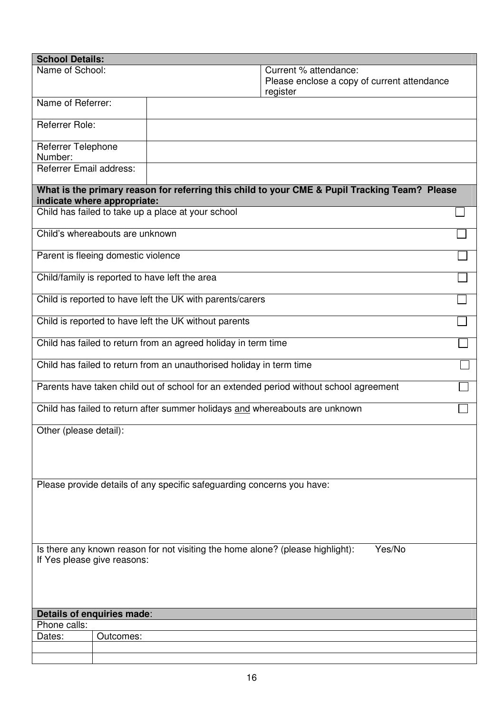| <b>School Details:</b>              |           |                                                                                               |                                                                                  |        |
|-------------------------------------|-----------|-----------------------------------------------------------------------------------------------|----------------------------------------------------------------------------------|--------|
| Name of School:                     |           |                                                                                               | Current % attendance:<br>Please enclose a copy of current attendance<br>register |        |
| Name of Referrer:                   |           |                                                                                               |                                                                                  |        |
| Referrer Role:                      |           |                                                                                               |                                                                                  |        |
| Referrer Telephone<br>Number:       |           |                                                                                               |                                                                                  |        |
| Referrer Email address:             |           |                                                                                               |                                                                                  |        |
| indicate where appropriate:         |           | What is the primary reason for referring this child to your CME & Pupil Tracking Team? Please |                                                                                  |        |
|                                     |           | Child has failed to take up a place at your school                                            |                                                                                  |        |
| Child's whereabouts are unknown     |           |                                                                                               |                                                                                  |        |
| Parent is fleeing domestic violence |           |                                                                                               |                                                                                  |        |
|                                     |           | Child/family is reported to have left the area                                                |                                                                                  |        |
|                                     |           | Child is reported to have left the UK with parents/carers                                     |                                                                                  |        |
|                                     |           | Child is reported to have left the UK without parents                                         |                                                                                  |        |
|                                     |           | Child has failed to return from an agreed holiday in term time                                |                                                                                  |        |
|                                     |           | Child has failed to return from an unauthorised holiday in term time                          |                                                                                  |        |
|                                     |           | Parents have taken child out of school for an extended period without school agreement        |                                                                                  |        |
|                                     |           | Child has failed to return after summer holidays and whereabouts are unknown                  |                                                                                  |        |
| Other (please detail):              |           |                                                                                               |                                                                                  |        |
|                                     |           |                                                                                               |                                                                                  |        |
|                                     |           | Please provide details of any specific safeguarding concerns you have:                        |                                                                                  |        |
|                                     |           |                                                                                               |                                                                                  |        |
| If Yes please give reasons:         |           | Is there any known reason for not visiting the home alone? (please highlight):                |                                                                                  | Yes/No |
|                                     |           |                                                                                               |                                                                                  |        |
|                                     |           |                                                                                               |                                                                                  |        |
| Details of enquiries made:          |           |                                                                                               |                                                                                  |        |
| Phone calls:                        |           |                                                                                               |                                                                                  |        |
| Dates:                              | Outcomes: |                                                                                               |                                                                                  |        |
|                                     |           |                                                                                               |                                                                                  |        |
|                                     |           |                                                                                               |                                                                                  |        |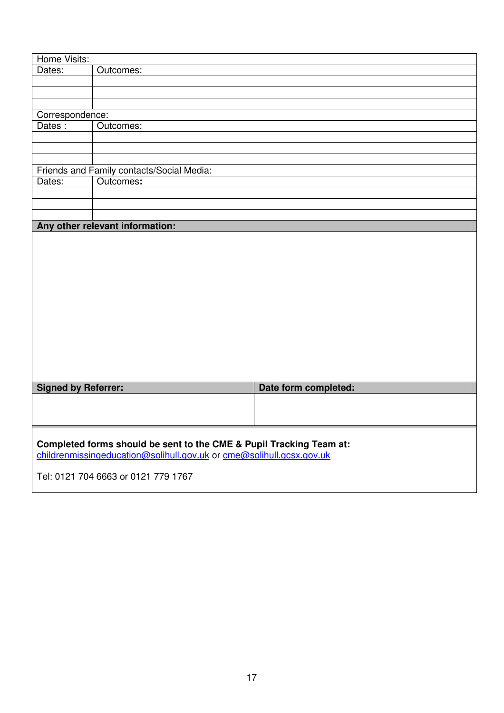| Dates:<br>Outcomes:<br>Correspondence:<br>Dates:<br>Outcomes:<br>Friends and Family contacts/Social Media:<br>Dates:<br>Outcomes:<br>Any other relevant information: |
|----------------------------------------------------------------------------------------------------------------------------------------------------------------------|
|                                                                                                                                                                      |
|                                                                                                                                                                      |
|                                                                                                                                                                      |
|                                                                                                                                                                      |
|                                                                                                                                                                      |
|                                                                                                                                                                      |
|                                                                                                                                                                      |
|                                                                                                                                                                      |
|                                                                                                                                                                      |
|                                                                                                                                                                      |
|                                                                                                                                                                      |
|                                                                                                                                                                      |
|                                                                                                                                                                      |
|                                                                                                                                                                      |
|                                                                                                                                                                      |
|                                                                                                                                                                      |
|                                                                                                                                                                      |
|                                                                                                                                                                      |
|                                                                                                                                                                      |
|                                                                                                                                                                      |
|                                                                                                                                                                      |
|                                                                                                                                                                      |
|                                                                                                                                                                      |
|                                                                                                                                                                      |
|                                                                                                                                                                      |
|                                                                                                                                                                      |
|                                                                                                                                                                      |
|                                                                                                                                                                      |
| <b>Signed by Referrer:</b><br>Date form completed:                                                                                                                   |
|                                                                                                                                                                      |
|                                                                                                                                                                      |
|                                                                                                                                                                      |
|                                                                                                                                                                      |
|                                                                                                                                                                      |
| Completed forms should be sent to the CME & Pupil Tracking Team at:                                                                                                  |
| childrenmissingeducation@solihull.gov.uk or cme@solihull.gcsx.gov.uk                                                                                                 |
| Tel: 0121 704 6663 or 0121 779 1767                                                                                                                                  |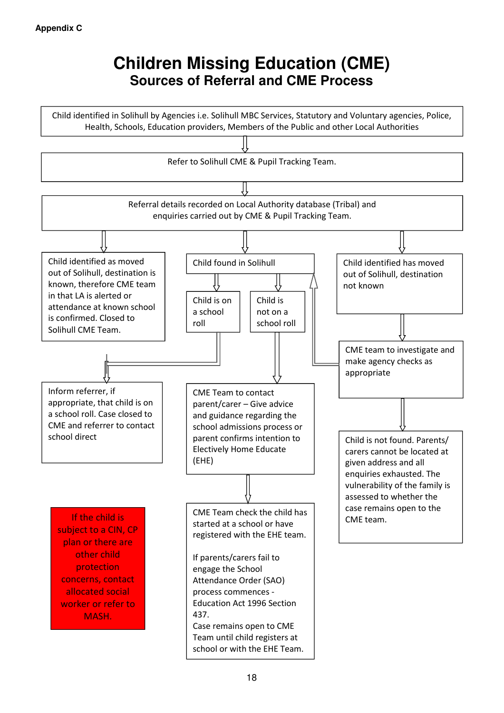## **Children Missing Education (CME) Sources of Referral and CME Process**